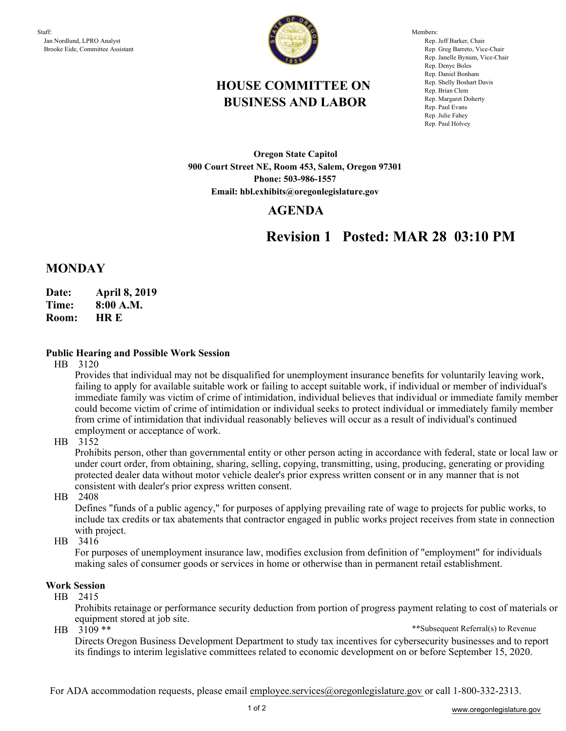

Members: Rep. Jeff Barker, Chair Rep. Greg Barreto, Vice-Chair Rep. Janelle Bynum, Vice-Chair Rep. Denyc Boles Rep. Daniel Bonham Rep. Shelly Boshart Davis Rep. Brian Clem Rep. Margaret Doherty Rep. Paul Evans Rep. Julie Fahey Rep. Paul Holvey

# **HOUSE COMMITTEE ON BUSINESS AND LABOR**

**Oregon State Capitol 900 Court Street NE, Room 453, Salem, Oregon 97301 Phone: 503-986-1557 Email: hbl.exhibits@oregonlegislature.gov**

## **AGENDA**

# **Revision 1 Posted: MAR 28 03:10 PM**

## **MONDAY**

- **Date: April 8, 2019**
- **Time: 8:00 A.M.**
- **HR E Room:**

## **Public Hearing and Possible Work Session**

HB 3120

Provides that individual may not be disqualified for unemployment insurance benefits for voluntarily leaving work, failing to apply for available suitable work or failing to accept suitable work, if individual or member of individual's immediate family was victim of crime of intimidation, individual believes that individual or immediate family member could become victim of crime of intimidation or individual seeks to protect individual or immediately family member from crime of intimidation that individual reasonably believes will occur as a result of individual's continued employment or acceptance of work.

HB 3152

Prohibits person, other than governmental entity or other person acting in accordance with federal, state or local law or under court order, from obtaining, sharing, selling, copying, transmitting, using, producing, generating or providing protected dealer data without motor vehicle dealer's prior express written consent or in any manner that is not consistent with dealer's prior express written consent.

HB 2408

Defines "funds of a public agency," for purposes of applying prevailing rate of wage to projects for public works, to include tax credits or tax abatements that contractor engaged in public works project receives from state in connection with project.

HB 3416

For purposes of unemployment insurance law, modifies exclusion from definition of "employment" for individuals making sales of consumer goods or services in home or otherwise than in permanent retail establishment.

### **Work Session**

HB 2415

Prohibits retainage or performance security deduction from portion of progress payment relating to cost of materials or equipment stored at job site.

HB 3109 \*\*

\*\*Subsequent Referral(s) to Revenue

Directs Oregon Business Development Department to study tax incentives for cybersecurity businesses and to report its findings to interim legislative committees related to economic development on or before September 15, 2020.

For ADA accommodation requests, please email employee.services@oregonlegislature.gov or call 1-800-332-2313.